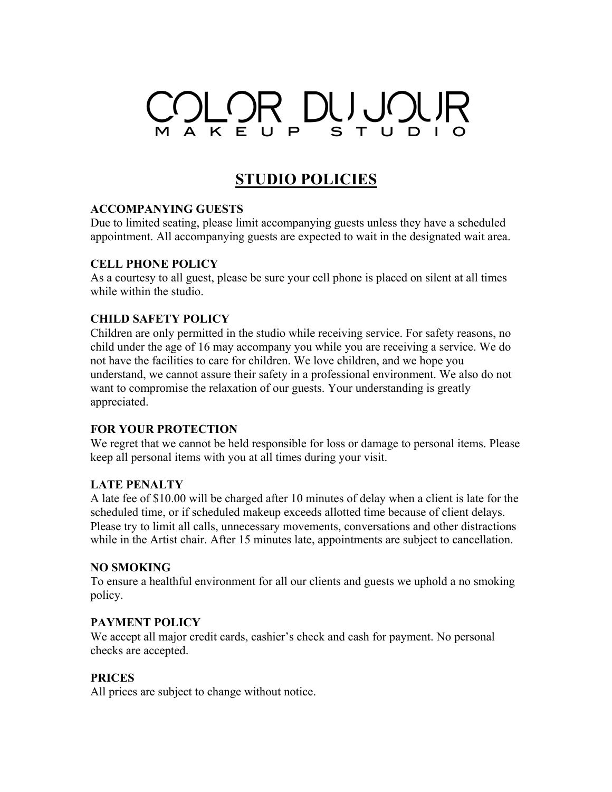# OLOR DUJOUR  $U$   $P$ STU

## **STUDIO POLICIES**

#### **ACCOMPANYING GUESTS**

Due to limited seating, please limit accompanying guests unless they have a scheduled appointment. All accompanying guests are expected to wait in the designated wait area.

#### **CELL PHONE POLICY**

As a courtesy to all guest, please be sure your cell phone is placed on silent at all times while within the studio.

#### **CHILD SAFETY POLICY**

Children are only permitted in the studio while receiving service. For safety reasons, no child under the age of 16 may accompany you while you are receiving a service. We do not have the facilities to care for children. We love children, and we hope you understand, we cannot assure their safety in a professional environment. We also do not want to compromise the relaxation of our guests. Your understanding is greatly appreciated.

#### **FOR YOUR PROTECTION**

We regret that we cannot be held responsible for loss or damage to personal items. Please keep all personal items with you at all times during your visit.

#### **LATE PENALTY**

A late fee of \$10.00 will be charged after 10 minutes of delay when a client is late for the scheduled time, or if scheduled makeup exceeds allotted time because of client delays. Please try to limit all calls, unnecessary movements, conversations and other distractions while in the Artist chair. After 15 minutes late, appointments are subject to cancellation.

#### **NO SMOKING**

To ensure a healthful environment for all our clients and guests we uphold a no smoking policy.

## **PAYMENT POLICY**

We accept all major credit cards, cashier's check and cash for payment. No personal checks are accepted.

## **PRICES**

All prices are subject to change without notice.